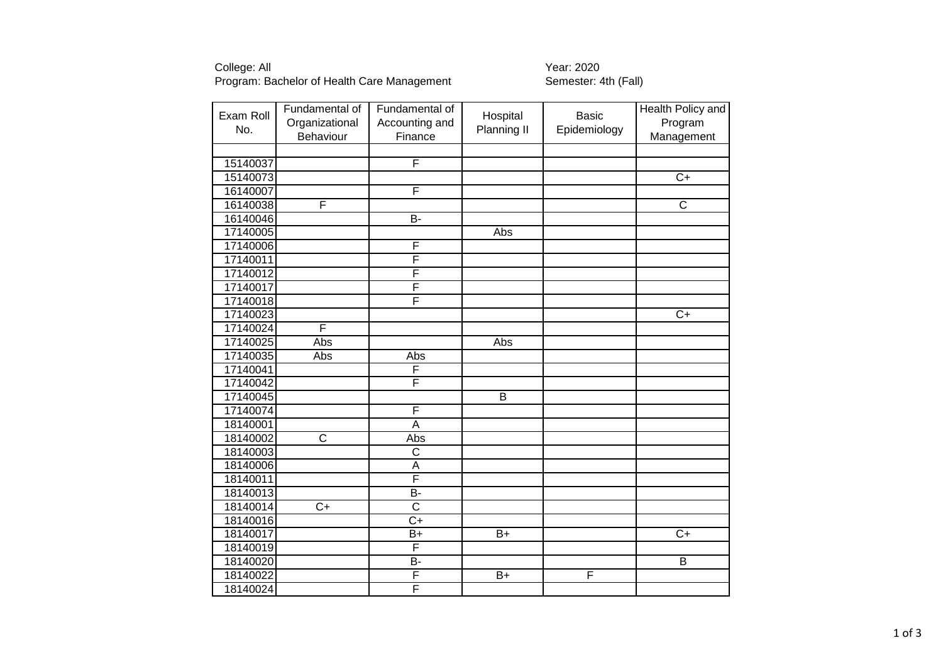# College: All<br>Program: Bachelor of Health Care Management Transferred Semester: 4th (Fall) Program: Bachelor of Health Care Management

| Exam Roll<br>No. | Fundamental of<br>Organizational<br>Behaviour | Fundamental of<br>Accounting and<br>Finance | Hospital<br>Planning II | <b>Basic</b><br>Epidemiology | Health Policy and<br>Program<br>Management |
|------------------|-----------------------------------------------|---------------------------------------------|-------------------------|------------------------------|--------------------------------------------|
|                  |                                               |                                             |                         |                              |                                            |
| 15140037         |                                               | F                                           |                         |                              |                                            |
| 15140073         |                                               |                                             |                         |                              | $\overline{C}$                             |
| 16140007         |                                               | F                                           |                         |                              |                                            |
| 16140038         | F                                             |                                             |                         |                              | $\overline{\text{c}}$                      |
| 16140046         |                                               | $B -$                                       |                         |                              |                                            |
| 17140005         |                                               |                                             | Abs                     |                              |                                            |
| 17140006         |                                               | F                                           |                         |                              |                                            |
| 17140011         |                                               | F                                           |                         |                              |                                            |
| 17140012         |                                               | F                                           |                         |                              |                                            |
| 17140017         |                                               | F                                           |                         |                              |                                            |
| 17140018         |                                               | F                                           |                         |                              |                                            |
| 17140023         |                                               |                                             |                         |                              | $\overline{C}$                             |
| 17140024         | F                                             |                                             |                         |                              |                                            |
| 17140025         | Abs                                           |                                             | Abs                     |                              |                                            |
| 17140035         | Abs                                           | Abs                                         |                         |                              |                                            |
| 17140041         |                                               | F                                           |                         |                              |                                            |
| 17140042         |                                               | F                                           |                         |                              |                                            |
| 17140045         |                                               |                                             | $\overline{B}$          |                              |                                            |
| 17140074         |                                               | F                                           |                         |                              |                                            |
| 18140001         |                                               | $\overline{\mathsf{A}}$                     |                         |                              |                                            |
| 18140002         | $\overline{\text{c}}$                         | Abs                                         |                         |                              |                                            |
| 18140003         |                                               | $\overline{\text{c}}$                       |                         |                              |                                            |
| 18140006         |                                               | $\overline{\mathsf{A}}$                     |                         |                              |                                            |
| 18140011         |                                               | F                                           |                         |                              |                                            |
| 18140013         |                                               | $\overline{B}$                              |                         |                              |                                            |
| 18140014         | $\overline{C}$                                | $\overline{\text{c}}$                       |                         |                              |                                            |
| 18140016         |                                               | $\overline{C+}$                             |                         |                              |                                            |
| 18140017         |                                               | $B+$                                        | $B+$                    |                              | $C+$                                       |
| 18140019         |                                               | F                                           |                         |                              |                                            |
| 18140020         |                                               | <b>B-</b>                                   |                         |                              | B                                          |
| 18140022         |                                               | F                                           | $B+$                    | F                            |                                            |
| 18140024         |                                               | F                                           |                         |                              |                                            |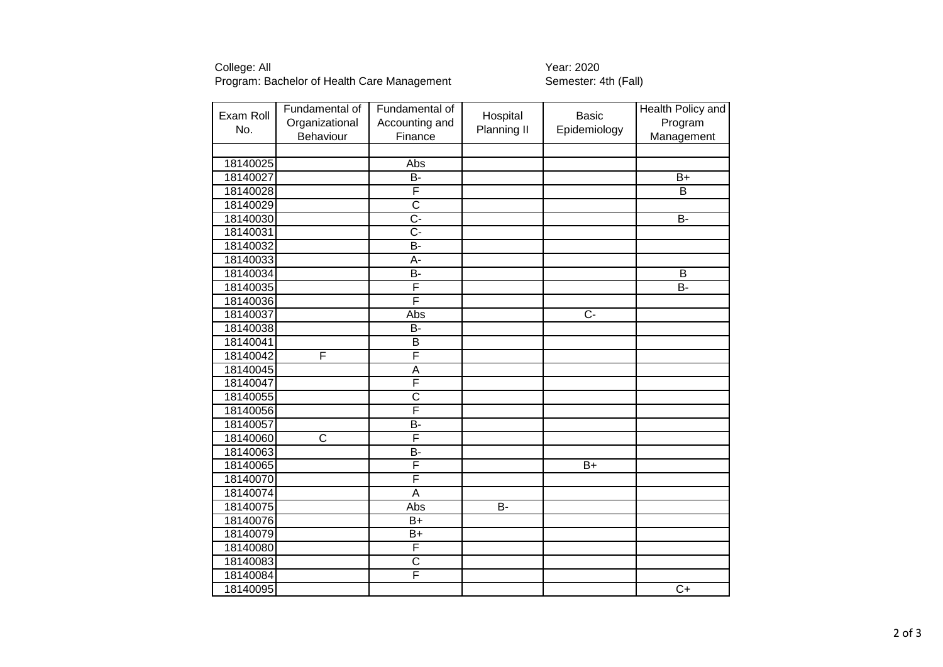## College: All Year: 2020 Program: Bachelor of Health Care Management Semester: 4th (Fall)

| Exam Roll<br>No. | Fundamental of<br>Organizational | Fundamental of<br>Accounting and | Hospital<br>Planning II | <b>Basic</b><br>Epidemiology | Health Policy and<br>Program |
|------------------|----------------------------------|----------------------------------|-------------------------|------------------------------|------------------------------|
|                  | Behaviour                        | Finance                          |                         |                              | Management                   |
| 18140025         |                                  | Abs                              |                         |                              |                              |
| 18140027         |                                  | B-                               |                         |                              | $\overline{B+}$              |
| 18140028         |                                  | F                                |                         |                              | B                            |
| 18140029         |                                  | $\overline{\text{c}}$            |                         |                              |                              |
| 18140030         |                                  | $\overline{C}$ -                 |                         |                              | $B -$                        |
| 18140031         |                                  | $\overline{C}$ -                 |                         |                              |                              |
| 18140032         |                                  | $\overline{B}$                   |                         |                              |                              |
| 18140033         |                                  | A-                               |                         |                              |                              |
| 18140034         |                                  | $\overline{B}$                   |                         |                              | B                            |
| 18140035         |                                  | F                                |                         |                              | $\overline{B}$               |
| 18140036         |                                  | F                                |                         |                              |                              |
| 18140037         |                                  | Abs                              |                         | $C -$                        |                              |
|                  |                                  | <b>B-</b>                        |                         |                              |                              |
| 18140038         |                                  |                                  |                         |                              |                              |
| 18140041         | F                                | B<br>F                           |                         |                              |                              |
| 18140042         |                                  |                                  |                         |                              |                              |
| 18140045         |                                  | A                                |                         |                              |                              |
| 18140047         |                                  | F                                |                         |                              |                              |
| 18140055         |                                  | $\overline{\text{c}}$            |                         |                              |                              |
| 18140056         |                                  | F                                |                         |                              |                              |
| 18140057         |                                  | B-                               |                         |                              |                              |
| 18140060         | $\overline{\text{c}}$            | F                                |                         |                              |                              |
| 18140063         |                                  | $\overline{B}$                   |                         |                              |                              |
| 18140065         |                                  | F                                |                         | $\overline{B+}$              |                              |
| 18140070         |                                  | F                                |                         |                              |                              |
| 18140074         |                                  | A                                |                         |                              |                              |
| 18140075         |                                  | Abs                              | $\overline{B}$          |                              |                              |
| 18140076         |                                  | $B+$                             |                         |                              |                              |
| 18140079         |                                  | B+                               |                         |                              |                              |
| 18140080         |                                  | F                                |                         |                              |                              |
| 18140083         |                                  | $\overline{\text{c}}$            |                         |                              |                              |
| 18140084         |                                  | F                                |                         |                              |                              |
| 18140095         |                                  |                                  |                         |                              | $\overline{C}$ +             |